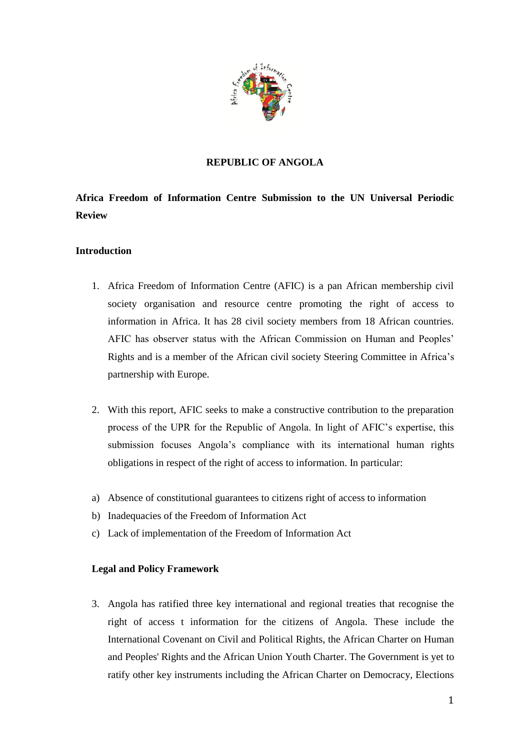

# **REPUBLIC OF ANGOLA**

# **Africa Freedom of Information Centre Submission to the UN Universal Periodic Review**

# **Introduction**

- 1. Africa Freedom of Information Centre (AFIC) is a pan African membership civil society organisation and resource centre promoting the right of access to information in Africa. It has 28 civil society members from 18 African countries. AFIC has observer status with the African Commission on Human and Peoples' Rights and is a member of the African civil society Steering Committee in Africa's partnership with Europe.
- 2. With this report, AFIC seeks to make a constructive contribution to the preparation process of the UPR for the Republic of Angola. In light of AFIC's expertise, this submission focuses Angola's compliance with its international human rights obligations in respect of the right of access to information. In particular:
- a) Absence of constitutional guarantees to citizens right of access to information
- b) Inadequacies of the Freedom of Information Act
- c) Lack of implementation of the Freedom of Information Act

# **Legal and Policy Framework**

3. Angola has ratified three key international and regional treaties that recognise the right of access t information for the citizens of Angola. These include the International Covenant on Civil and Political Rights, the African Charter on Human and Peoples' Rights and the African Union Youth Charter. The Government is yet to ratify other key instruments including the African Charter on Democracy, Elections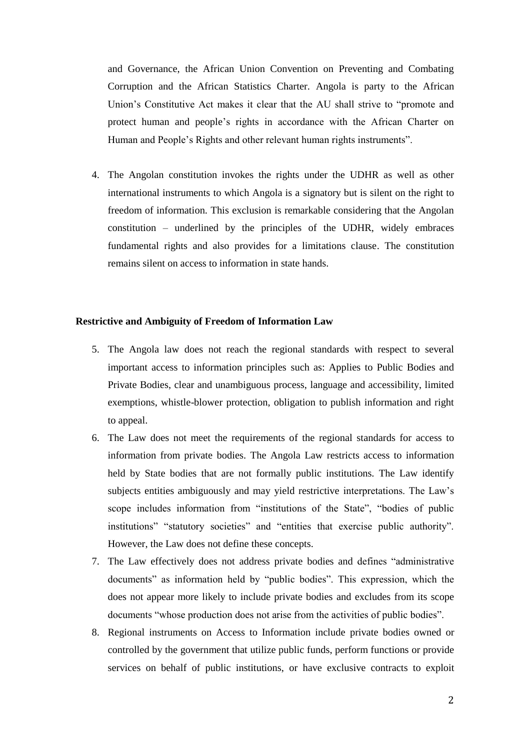and Governance, the African Union Convention on Preventing and Combating Corruption and the African Statistics Charter. Angola is party to the African Union's Constitutive Act makes it clear that the AU shall strive to "promote and protect human and people's rights in accordance with the African Charter on Human and People's Rights and other relevant human rights instruments".

4. The Angolan constitution invokes the rights under the UDHR as well as other international instruments to which Angola is a signatory but is silent on the right to freedom of information. This exclusion is remarkable considering that the Angolan constitution – underlined by the principles of the UDHR, widely embraces fundamental rights and also provides for a limitations clause. The constitution remains silent on access to information in state hands.

#### **Restrictive and Ambiguity of Freedom of Information Law**

- 5. The Angola law does not reach the regional standards with respect to several important access to information principles such as: Applies to Public Bodies and Private Bodies, clear and unambiguous process, language and accessibility, limited exemptions, whistle-blower protection, obligation to publish information and right to appeal.
- 6. The Law does not meet the requirements of the regional standards for access to information from private bodies. The Angola Law restricts access to information held by State bodies that are not formally public institutions. The Law identify subjects entities ambiguously and may yield restrictive interpretations. The Law's scope includes information from "institutions of the State", "bodies of public institutions" "statutory societies" and "entities that exercise public authority". However, the Law does not define these concepts.
- 7. The Law effectively does not address private bodies and defines "administrative documents" as information held by "public bodies". This expression, which the does not appear more likely to include private bodies and excludes from its scope documents "whose production does not arise from the activities of public bodies".
- 8. Regional instruments on Access to Information include private bodies owned or controlled by the government that utilize public funds, perform functions or provide services on behalf of public institutions, or have exclusive contracts to exploit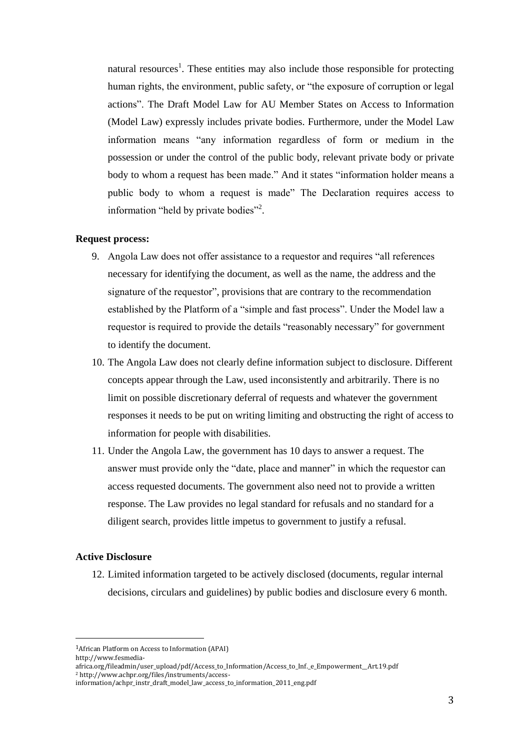natural resources<sup>1</sup>. These entities may also include those responsible for protecting human rights, the environment, public safety, or "the exposure of corruption or legal actions". The Draft Model Law for AU Member States on Access to Information (Model Law) expressly includes private bodies. Furthermore, under the Model Law information means "any information regardless of form or medium in the possession or under the control of the public body, relevant private body or private body to whom a request has been made." And it states "information holder means a public body to whom a request is made" The Declaration requires access to information "held by private bodies"<sup>2</sup>.

### **Request process:**

- 9. Angola Law does not offer assistance to a requestor and requires "all references necessary for identifying the document, as well as the name, the address and the signature of the requestor", provisions that are contrary to the recommendation established by the Platform of a "simple and fast process". Under the Model law a requestor is required to provide the details "reasonably necessary" for government to identify the document.
- 10. The Angola Law does not clearly define information subject to disclosure. Different concepts appear through the Law, used inconsistently and arbitrarily. There is no limit on possible discretionary deferral of requests and whatever the government responses it needs to be put on writing limiting and obstructing the right of access to information for people with disabilities.
- 11. Under the Angola Law, the government has 10 days to answer a request. The answer must provide only the "date, place and manner" in which the requestor can access requested documents. The government also need not to provide a written response. The Law provides no legal standard for refusals and no standard for a diligent search, provides little impetus to government to justify a refusal.

#### **Active Disclosure**

l

12. Limited information targeted to be actively disclosed (documents, regular internal decisions, circulars and guidelines) by public bodies and disclosure every 6 month.

<sup>1</sup>African Platform on Access to Information (APAI) http://www.fesmedia-

africa.org/fileadmin/user\_upload/pdf/Access\_to\_Information/Access\_to\_Inf.\_e\_Empowerment\_\_Art.19.pdf <sup>2</sup> http://www.achpr.org/files/instruments/access-

information/achpr\_instr\_draft\_model\_law\_access\_to\_information\_2011\_eng.pdf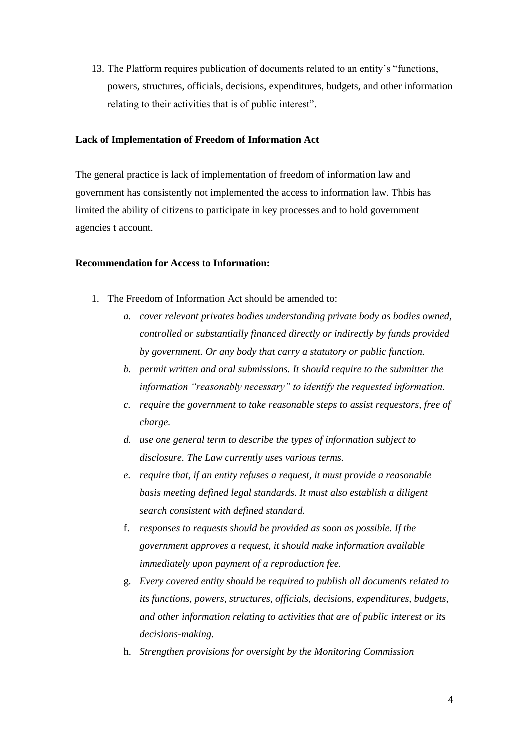13. The Platform requires publication of documents related to an entity's "functions, powers, structures, officials, decisions, expenditures, budgets, and other information relating to their activities that is of public interest".

#### **Lack of Implementation of Freedom of Information Act**

The general practice is lack of implementation of freedom of information law and government has consistently not implemented the access to information law. Thbis has limited the ability of citizens to participate in key processes and to hold government agencies t account.

### **Recommendation for Access to Information:**

- 1. The Freedom of Information Act should be amended to:
	- *a. cover relevant privates bodies understanding private body as bodies owned, controlled or substantially financed directly or indirectly by funds provided by government. Or any body that carry a statutory or public function.*
	- *b. permit written and oral submissions. It should require to the submitter the information "reasonably necessary" to identify the requested information.*
	- *c. require the government to take reasonable steps to assist requestors, free of charge.*
	- *d. use one general term to describe the types of information subject to disclosure. The Law currently uses various terms.*
	- *e. require that, if an entity refuses a request, it must provide a reasonable basis meeting defined legal standards. It must also establish a diligent search consistent with defined standard.*
	- f. *responses to requests should be provided as soon as possible. If the government approves a request, it should make information available immediately upon payment of a reproduction fee.*
	- g. *Every covered entity should be required to publish all documents related to its functions, powers, structures, officials, decisions, expenditures, budgets, and other information relating to activities that are of public interest or its decisions-making.*
	- h. *Strengthen provisions for oversight by the Monitoring Commission*